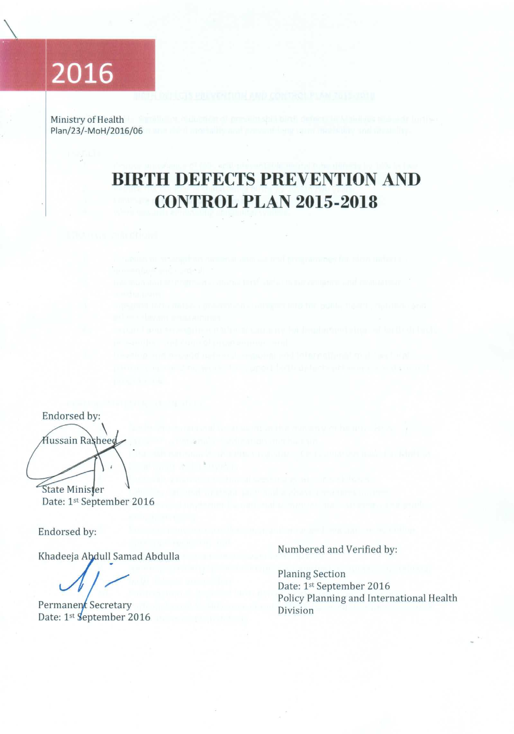# 2016

Ministry of Health Plan/23/-MoH/2016/06

## **BIRTH DEFECTS PREVENTION AND CONTROL PLAN 2015-2018**

Endorsed by: Hussain Rasheed

State Minister Date: 1st September 2016

Endorsed by:

Khadeeja Abdull Samad Abdulla

Permanent Secretary Date: 1st September 2016

Numbered and Verified by:

**Planing Section** Date: 1st September 2016 Policy Planning and International Health Division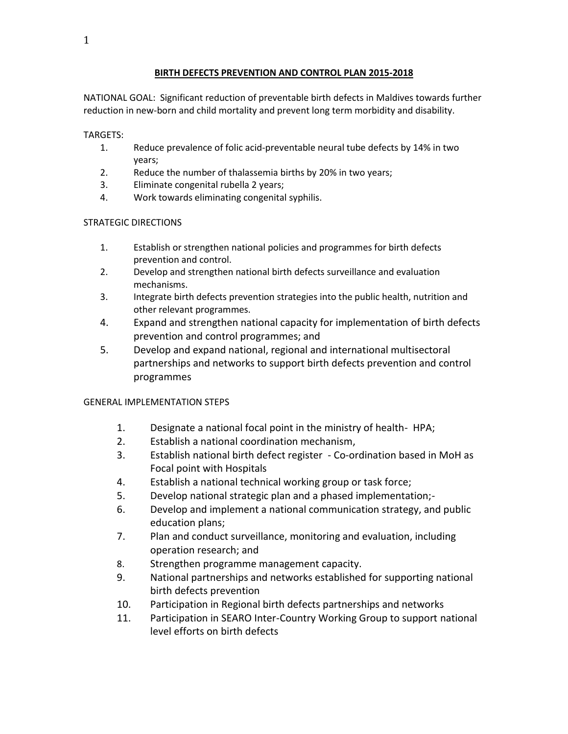#### **BIRTH DEFECTS PREVENTION AND CONTROL PLAN 2015-2018**

NATIONAL GOAL: Significant reduction of preventable birth defects in Maldives towards further reduction in new-born and child mortality and prevent long term morbidity and disability.

#### TARGETS:

- 1. Reduce prevalence of folic acid-preventable neural tube defects by 14% in two years;
- 2. Reduce the number of thalassemia births by 20% in two years;
- 3. Eliminate congenital rubella 2 years;
- 4. Work towards eliminating congenital syphilis.

### STRATEGIC DIRECTIONS

- 1. Establish or strengthen national policies and programmes for birth defects prevention and control.
- 2. Develop and strengthen national birth defects surveillance and evaluation mechanisms.
- 3. Integrate birth defects prevention strategies into the public health, nutrition and other relevant programmes.
- 4. Expand and strengthen national capacity for implementation of birth defects prevention and control programmes; and
- 5. Develop and expand national, regional and international multisectoral partnerships and networks to support birth defects prevention and control programmes

### GENERAL IMPLEMENTATION STEPS

- 1. Designate a national focal point in the ministry of health- HPA;
- 2. Establish a national coordination mechanism,
- 3. Establish national birth defect register Co-ordination based in MoH as Focal point with Hospitals
- 4. Establish a national technical working group or task force;
- 5. Develop national strategic plan and a phased implementation;-
- 6. Develop and implement a national communication strategy, and public education plans;
- 7. Plan and conduct surveillance, monitoring and evaluation, including operation research; and
- 8. Strengthen programme management capacity.
- 9. National partnerships and networks established for supporting national birth defects prevention
- 10. Participation in Regional birth defects partnerships and networks
- 11. Participation in SEARO Inter-Country Working Group to support national level efforts on birth defects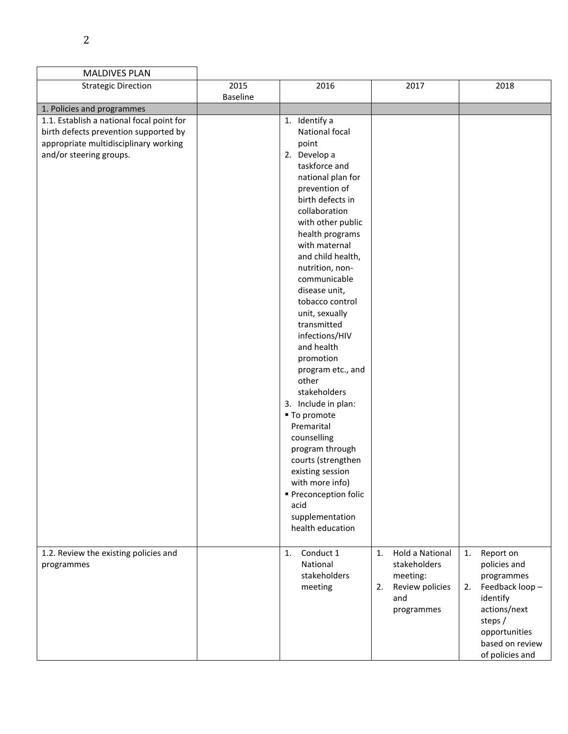| <b>MALDIVES PLAN</b>                                                    |                 |                                |                              |                      |
|-------------------------------------------------------------------------|-----------------|--------------------------------|------------------------------|----------------------|
| <b>Strategic Direction</b>                                              | 2015            | 2016                           | 2017                         | 2018                 |
|                                                                         | <b>Baseline</b> |                                |                              |                      |
| 1. Policies and programmes<br>1.1. Establish a national focal point for |                 | 1. Identify a                  |                              |                      |
|                                                                         |                 | National focal                 |                              |                      |
| birth defects prevention supported by                                   |                 |                                |                              |                      |
| appropriate multidisciplinary working                                   |                 | point                          |                              |                      |
| and/or steering groups.                                                 |                 | 2. Develop a<br>taskforce and  |                              |                      |
|                                                                         |                 | national plan for              |                              |                      |
|                                                                         |                 | prevention of                  |                              |                      |
|                                                                         |                 | birth defects in               |                              |                      |
|                                                                         |                 | collaboration                  |                              |                      |
|                                                                         |                 | with other public              |                              |                      |
|                                                                         |                 | health programs                |                              |                      |
|                                                                         |                 | with maternal                  |                              |                      |
|                                                                         |                 | and child health,              |                              |                      |
|                                                                         |                 | nutrition, non-                |                              |                      |
|                                                                         |                 | communicable                   |                              |                      |
|                                                                         |                 | disease unit,                  |                              |                      |
|                                                                         |                 | tobacco control                |                              |                      |
|                                                                         |                 | unit, sexually                 |                              |                      |
|                                                                         |                 | transmitted                    |                              |                      |
|                                                                         |                 | infections/HIV                 |                              |                      |
|                                                                         |                 | and health                     |                              |                      |
|                                                                         |                 | promotion<br>program etc., and |                              |                      |
|                                                                         |                 | other                          |                              |                      |
|                                                                         |                 | stakeholders                   |                              |                      |
|                                                                         |                 | 3. Include in plan:            |                              |                      |
|                                                                         |                 | ■ To promote                   |                              |                      |
|                                                                         |                 | Premarital                     |                              |                      |
|                                                                         |                 | counselling                    |                              |                      |
|                                                                         |                 | program through                |                              |                      |
|                                                                         |                 | courts (strengthen             |                              |                      |
|                                                                         |                 | existing session               |                              |                      |
|                                                                         |                 | with more info)                |                              |                      |
|                                                                         |                 | ■ Preconception folic          |                              |                      |
|                                                                         |                 | acid                           |                              |                      |
|                                                                         |                 | supplementation                |                              |                      |
|                                                                         |                 | health education               |                              |                      |
| 1.2. Review the existing policies and                                   |                 | Conduct 1<br>1.                | <b>Hold a National</b><br>1. | Report on<br>1.      |
| programmes                                                              |                 | National                       | stakeholders                 | policies and         |
|                                                                         |                 | stakeholders                   | meeting:                     | programmes           |
|                                                                         |                 | meeting                        | Review policies<br>2.        | Feedback loop-<br>2. |
|                                                                         |                 |                                | and                          | identify             |
|                                                                         |                 |                                | programmes                   | actions/next         |
|                                                                         |                 |                                |                              | steps /              |
|                                                                         |                 |                                |                              | opportunities        |
|                                                                         |                 |                                |                              | based on review      |
|                                                                         |                 |                                |                              | of policies and      |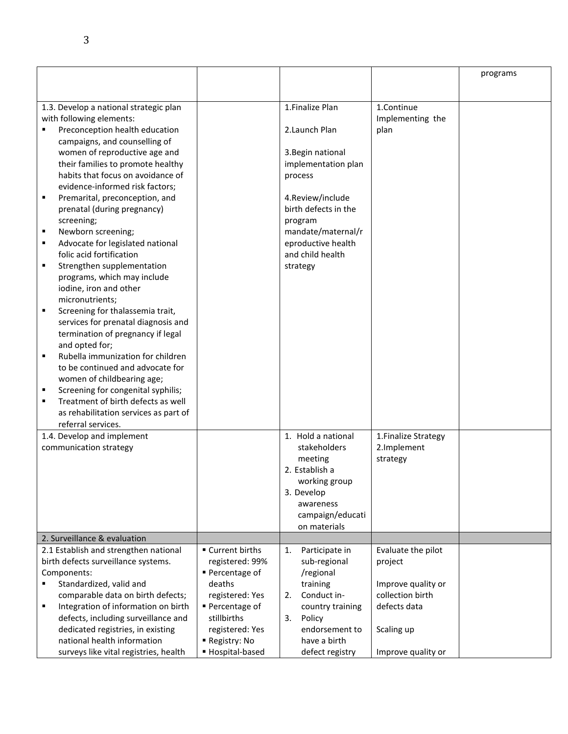|   |                                                            |                  |                                          |                      | programs |
|---|------------------------------------------------------------|------------------|------------------------------------------|----------------------|----------|
|   |                                                            |                  |                                          |                      |          |
|   |                                                            |                  |                                          |                      |          |
|   | 1.3. Develop a national strategic plan                     |                  | 1.Finalize Plan                          | 1.Continue           |          |
|   | with following elements:<br>Preconception health education |                  | 2. Launch Plan                           | Implementing the     |          |
|   | campaigns, and counselling of                              |                  |                                          | plan                 |          |
|   | women of reproductive age and                              |                  |                                          |                      |          |
|   | their families to promote healthy                          |                  | 3. Begin national<br>implementation plan |                      |          |
|   | habits that focus on avoidance of                          |                  | process                                  |                      |          |
|   | evidence-informed risk factors;                            |                  |                                          |                      |          |
| ٠ | Premarital, preconception, and                             |                  | 4.Review/include                         |                      |          |
|   | prenatal (during pregnancy)                                |                  | birth defects in the                     |                      |          |
|   | screening;                                                 |                  | program                                  |                      |          |
| ٠ | Newborn screening;                                         |                  | mandate/maternal/r                       |                      |          |
| ٠ | Advocate for legislated national                           |                  | eproductive health                       |                      |          |
|   | folic acid fortification                                   |                  | and child health                         |                      |          |
|   | Strengthen supplementation                                 |                  | strategy                                 |                      |          |
|   | programs, which may include                                |                  |                                          |                      |          |
|   | iodine, iron and other                                     |                  |                                          |                      |          |
|   | micronutrients;                                            |                  |                                          |                      |          |
| ٠ | Screening for thalassemia trait,                           |                  |                                          |                      |          |
|   | services for prenatal diagnosis and                        |                  |                                          |                      |          |
|   | termination of pregnancy if legal                          |                  |                                          |                      |          |
|   | and opted for;                                             |                  |                                          |                      |          |
| ٠ | Rubella immunization for children                          |                  |                                          |                      |          |
|   | to be continued and advocate for                           |                  |                                          |                      |          |
|   | women of childbearing age;                                 |                  |                                          |                      |          |
| ٠ | Screening for congenital syphilis;                         |                  |                                          |                      |          |
| ٠ | Treatment of birth defects as well                         |                  |                                          |                      |          |
|   | as rehabilitation services as part of                      |                  |                                          |                      |          |
|   | referral services.                                         |                  |                                          |                      |          |
|   | 1.4. Develop and implement                                 |                  | 1. Hold a national                       | 1. Finalize Strategy |          |
|   | communication strategy                                     |                  | stakeholders                             | 2.Implement          |          |
|   |                                                            |                  | meeting                                  | strategy             |          |
|   |                                                            |                  | 2. Establish a                           |                      |          |
|   |                                                            |                  | working group                            |                      |          |
|   |                                                            |                  | 3. Develop<br>awareness                  |                      |          |
|   |                                                            |                  | campaign/educati                         |                      |          |
|   |                                                            |                  | on materials                             |                      |          |
|   | 2. Surveillance & evaluation                               |                  |                                          |                      |          |
|   | 2.1 Establish and strengthen national                      | ■ Current births | Participate in<br>1.                     | Evaluate the pilot   |          |
|   | birth defects surveillance systems.                        | registered: 99%  | sub-regional                             | project              |          |
|   | Components:                                                | ■ Percentage of  | /regional                                |                      |          |
|   | Standardized, valid and                                    | deaths           | training                                 | Improve quality or   |          |
|   | comparable data on birth defects;                          | registered: Yes  | Conduct in-<br>2.                        | collection birth     |          |
| ٠ | Integration of information on birth                        | ■ Percentage of  | country training                         | defects data         |          |
|   | defects, including surveillance and                        | stillbirths      | 3.<br>Policy                             |                      |          |
|   | dedicated registries, in existing                          | registered: Yes  | endorsement to                           | Scaling up           |          |
|   | national health information                                | Registry: No     | have a birth                             |                      |          |
|   | surveys like vital registries, health                      | ■ Hospital-based | defect registry                          | Improve quality or   |          |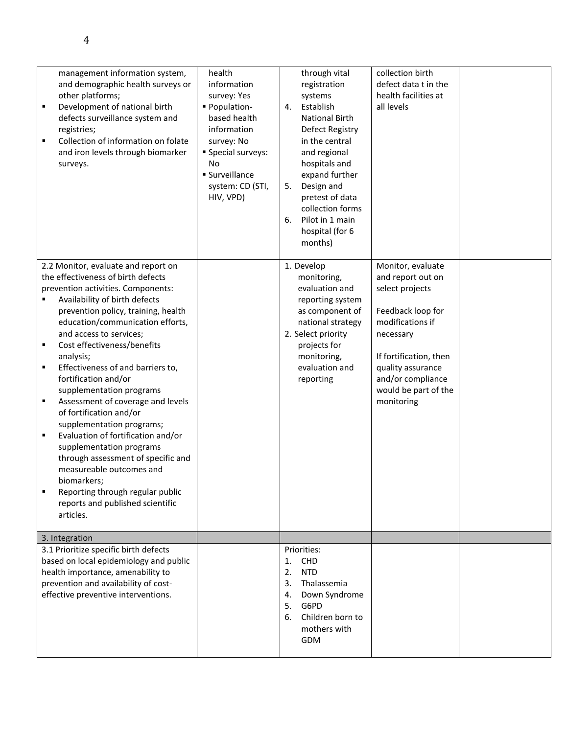| ٠<br>٠                     | management information system,<br>and demographic health surveys or<br>other platforms;<br>Development of national birth<br>defects surveillance system and<br>registries;<br>Collection of information on folate<br>and iron levels through biomarker<br>surveys.                                                                                                                                                                                                                                                                                                                                                                                                                                                               | health<br>information<br>survey: Yes<br>- Population-<br>based health<br>information<br>survey: No<br>Special surveys:<br>No<br><b>Surveillance</b><br>system: CD (STI,<br>HIV, VPD) | through vital<br>registration<br>systems<br>Establish<br>4.<br><b>National Birth</b><br><b>Defect Registry</b><br>in the central<br>and regional<br>hospitals and<br>expand further<br>Design and<br>5.<br>pretest of data<br>collection forms<br>Pilot in 1 main<br>6.<br>hospital (for 6<br>months) | collection birth<br>defect data t in the<br>health facilities at<br>all levels                                                                                                                                            |  |
|----------------------------|----------------------------------------------------------------------------------------------------------------------------------------------------------------------------------------------------------------------------------------------------------------------------------------------------------------------------------------------------------------------------------------------------------------------------------------------------------------------------------------------------------------------------------------------------------------------------------------------------------------------------------------------------------------------------------------------------------------------------------|--------------------------------------------------------------------------------------------------------------------------------------------------------------------------------------|-------------------------------------------------------------------------------------------------------------------------------------------------------------------------------------------------------------------------------------------------------------------------------------------------------|---------------------------------------------------------------------------------------------------------------------------------------------------------------------------------------------------------------------------|--|
| ٠<br>٠<br>٠<br>٠<br>٠<br>٠ | 2.2 Monitor, evaluate and report on<br>the effectiveness of birth defects<br>prevention activities. Components:<br>Availability of birth defects<br>prevention policy, training, health<br>education/communication efforts,<br>and access to services;<br>Cost effectiveness/benefits<br>analysis;<br>Effectiveness of and barriers to,<br>fortification and/or<br>supplementation programs<br>Assessment of coverage and levels<br>of fortification and/or<br>supplementation programs;<br>Evaluation of fortification and/or<br>supplementation programs<br>through assessment of specific and<br>measureable outcomes and<br>biomarkers;<br>Reporting through regular public<br>reports and published scientific<br>articles. |                                                                                                                                                                                      | 1. Develop<br>monitoring,<br>evaluation and<br>reporting system<br>as component of<br>national strategy<br>2. Select priority<br>projects for<br>monitoring,<br>evaluation and<br>reporting                                                                                                           | Monitor, evaluate<br>and report out on<br>select projects<br>Feedback loop for<br>modifications if<br>necessary<br>If fortification, then<br>quality assurance<br>and/or compliance<br>would be part of the<br>monitoring |  |
|                            | 3. Integration                                                                                                                                                                                                                                                                                                                                                                                                                                                                                                                                                                                                                                                                                                                   |                                                                                                                                                                                      |                                                                                                                                                                                                                                                                                                       |                                                                                                                                                                                                                           |  |
|                            | 3.1 Prioritize specific birth defects<br>based on local epidemiology and public<br>health importance, amenability to<br>prevention and availability of cost-<br>effective preventive interventions.                                                                                                                                                                                                                                                                                                                                                                                                                                                                                                                              |                                                                                                                                                                                      | Priorities:<br><b>CHD</b><br>1.<br><b>NTD</b><br>2.<br>3.<br>Thalassemia<br>Down Syndrome<br>4.<br>G6PD<br>5.<br>Children born to<br>6.<br>mothers with<br>GDM                                                                                                                                        |                                                                                                                                                                                                                           |  |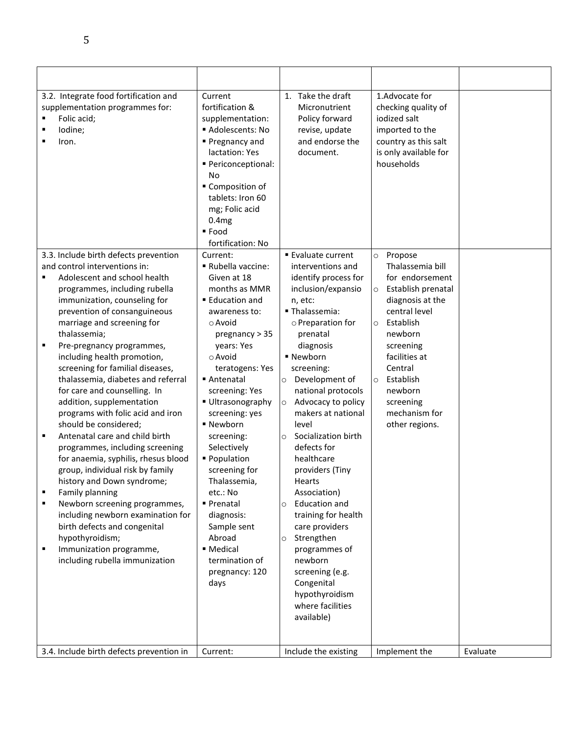| ٠                     | 3.2. Integrate food fortification and<br>supplementation programmes for:<br>Folic acid;<br>lodine;<br>Iron.                                                                                                                                                                                                                                                                                                                                                                                                                                                                                                                                                                                                                                                                                                                                                          | Current<br>fortification &<br>supplementation:<br>Adolescents: No<br>■ Pregnancy and<br>lactation: Yes<br>· Periconceptional:<br>No<br>Composition of<br>tablets: Iron 60<br>mg; Folic acid<br>0.4 <sub>mg</sub><br>■ Food<br>fortification: No                                                                                                                                                                                                                  | 1. Take the draft<br>Micronutrient<br>Policy forward<br>revise, update<br>and endorse the<br>document.                                                                                                                                                                                                                                                                                                                                                                                                                                                                                                                            | 1.Advocate for<br>checking quality of<br>jodized salt<br>imported to the<br>country as this salt<br>is only available for<br>households                                                                                                                                  |          |
|-----------------------|----------------------------------------------------------------------------------------------------------------------------------------------------------------------------------------------------------------------------------------------------------------------------------------------------------------------------------------------------------------------------------------------------------------------------------------------------------------------------------------------------------------------------------------------------------------------------------------------------------------------------------------------------------------------------------------------------------------------------------------------------------------------------------------------------------------------------------------------------------------------|------------------------------------------------------------------------------------------------------------------------------------------------------------------------------------------------------------------------------------------------------------------------------------------------------------------------------------------------------------------------------------------------------------------------------------------------------------------|-----------------------------------------------------------------------------------------------------------------------------------------------------------------------------------------------------------------------------------------------------------------------------------------------------------------------------------------------------------------------------------------------------------------------------------------------------------------------------------------------------------------------------------------------------------------------------------------------------------------------------------|--------------------------------------------------------------------------------------------------------------------------------------------------------------------------------------------------------------------------------------------------------------------------|----------|
|                       | 3.3. Include birth defects prevention                                                                                                                                                                                                                                                                                                                                                                                                                                                                                                                                                                                                                                                                                                                                                                                                                                | Current:                                                                                                                                                                                                                                                                                                                                                                                                                                                         | ■ Evaluate current                                                                                                                                                                                                                                                                                                                                                                                                                                                                                                                                                                                                                | Propose<br>$\circ$                                                                                                                                                                                                                                                       |          |
| ٠<br>٠<br>٠<br>٠<br>٠ | and control interventions in:<br>Adolescent and school health<br>programmes, including rubella<br>immunization, counseling for<br>prevention of consanguineous<br>marriage and screening for<br>thalassemia;<br>Pre-pregnancy programmes,<br>including health promotion,<br>screening for familial diseases,<br>thalassemia, diabetes and referral<br>for care and counselling. In<br>addition, supplementation<br>programs with folic acid and iron<br>should be considered;<br>Antenatal care and child birth<br>programmes, including screening<br>for anaemia, syphilis, rhesus blood<br>group, individual risk by family<br>history and Down syndrome;<br>Family planning<br>Newborn screening programmes,<br>including newborn examination for<br>birth defects and congenital<br>hypothyroidism;<br>Immunization programme,<br>including rubella immunization | Rubella vaccine:<br>Given at 18<br>months as MMR<br>■ Education and<br>awareness to:<br>$\circ$ Avoid<br>pregnancy $> 35$<br>years: Yes<br>o Avoid<br>teratogens: Yes<br>■ Antenatal<br>screening: Yes<br>Ultrasonography<br>screening: yes<br>■ Newborn<br>screening:<br>Selectively<br>■ Population<br>screening for<br>Thalassemia,<br>etc.: No<br>■ Prenatal<br>diagnosis:<br>Sample sent<br>Abroad<br>■ Medical<br>termination of<br>pregnancy: 120<br>days | interventions and<br>identify process for<br>inclusion/expansio<br>n, etc:<br>· Thalassemia:<br>o Preparation for<br>prenatal<br>diagnosis<br>■ Newborn<br>screening:<br>Development of<br>$\circ$<br>national protocols<br>Advocacy to policy<br>$\circ$<br>makers at national<br>level<br>Socialization birth<br>$\circ$<br>defects for<br>healthcare<br>providers (Tiny<br><b>Hearts</b><br>Association)<br><b>Education and</b><br>$\circ$<br>training for health<br>care providers<br>Strengthen<br>$\circ$<br>programmes of<br>newborn<br>screening (e.g.<br>Congenital<br>hypothyroidism<br>where facilities<br>available) | Thalassemia bill<br>for endorsement<br>Establish prenatal<br>$\circ$<br>diagnosis at the<br>central level<br>Establish<br>$\circ$<br>newborn<br>screening<br>facilities at<br>Central<br>Establish<br>$\circ$<br>newborn<br>screening<br>mechanism for<br>other regions. |          |
|                       |                                                                                                                                                                                                                                                                                                                                                                                                                                                                                                                                                                                                                                                                                                                                                                                                                                                                      |                                                                                                                                                                                                                                                                                                                                                                                                                                                                  |                                                                                                                                                                                                                                                                                                                                                                                                                                                                                                                                                                                                                                   |                                                                                                                                                                                                                                                                          |          |
|                       | 3.4. Include birth defects prevention in                                                                                                                                                                                                                                                                                                                                                                                                                                                                                                                                                                                                                                                                                                                                                                                                                             | Current:                                                                                                                                                                                                                                                                                                                                                                                                                                                         | Include the existing                                                                                                                                                                                                                                                                                                                                                                                                                                                                                                                                                                                                              | Implement the                                                                                                                                                                                                                                                            | Evaluate |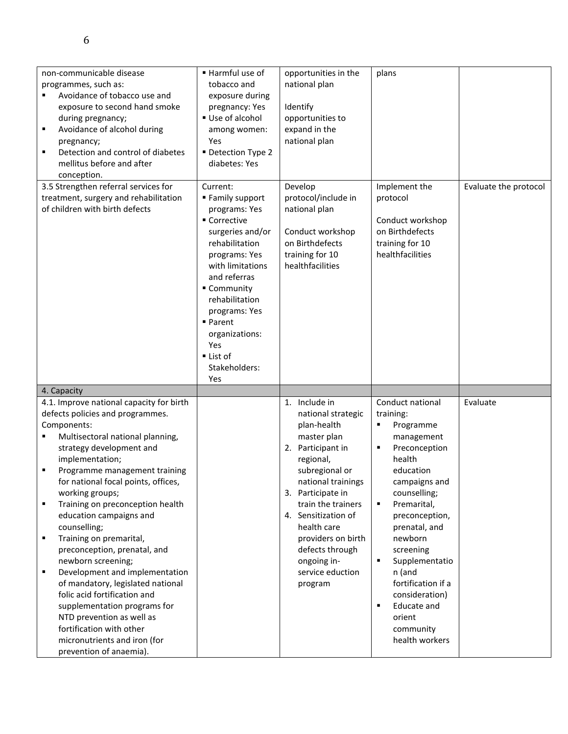| non-communicable disease<br>programmes, such as:<br>Avoidance of tobacco use and<br>exposure to second hand smoke<br>during pregnancy;<br>Avoidance of alcohol during<br>٠<br>pregnancy;<br>Detection and control of diabetes<br>٠<br>mellitus before and after<br>conception.                                                                                                                                                                                                                                                                                                                                                                                                                                                                                       | Harmful use of<br>tobacco and<br>exposure during<br>pregnancy: Yes<br>Use of alcohol<br>among women:<br>Yes<br>Detection Type 2<br>diabetes: Yes                                                                                                                                                | opportunities in the<br>national plan<br>Identify<br>opportunities to<br>expand in the<br>national plan                                                                                                                                                                                                             | plans                                                                                                                                                                                                                                                                                                                                                            |                       |
|----------------------------------------------------------------------------------------------------------------------------------------------------------------------------------------------------------------------------------------------------------------------------------------------------------------------------------------------------------------------------------------------------------------------------------------------------------------------------------------------------------------------------------------------------------------------------------------------------------------------------------------------------------------------------------------------------------------------------------------------------------------------|-------------------------------------------------------------------------------------------------------------------------------------------------------------------------------------------------------------------------------------------------------------------------------------------------|---------------------------------------------------------------------------------------------------------------------------------------------------------------------------------------------------------------------------------------------------------------------------------------------------------------------|------------------------------------------------------------------------------------------------------------------------------------------------------------------------------------------------------------------------------------------------------------------------------------------------------------------------------------------------------------------|-----------------------|
| 3.5 Strengthen referral services for<br>treatment, surgery and rehabilitation<br>of children with birth defects                                                                                                                                                                                                                                                                                                                                                                                                                                                                                                                                                                                                                                                      | Current:<br>■ Family support<br>programs: Yes<br>■ Corrective<br>surgeries and/or<br>rehabilitation<br>programs: Yes<br>with limitations<br>and referras<br>Community<br>rehabilitation<br>programs: Yes<br>■ Parent<br>organizations:<br>Yes<br>$\blacksquare$ List of<br>Stakeholders:<br>Yes | Develop<br>protocol/include in<br>national plan<br>Conduct workshop<br>on Birthdefects<br>training for 10<br>healthfacilities                                                                                                                                                                                       | Implement the<br>protocol<br>Conduct workshop<br>on Birthdefects<br>training for 10<br>healthfacilities                                                                                                                                                                                                                                                          | Evaluate the protocol |
| 4. Capacity                                                                                                                                                                                                                                                                                                                                                                                                                                                                                                                                                                                                                                                                                                                                                          |                                                                                                                                                                                                                                                                                                 |                                                                                                                                                                                                                                                                                                                     |                                                                                                                                                                                                                                                                                                                                                                  |                       |
| 4.1. Improve national capacity for birth<br>defects policies and programmes.<br>Components:<br>Multisectoral national planning,<br>٠<br>strategy development and<br>implementation;<br>Programme management training<br>٠<br>for national focal points, offices,<br>working groups;<br>Training on preconception health<br>$\blacksquare$<br>education campaigns and<br>counselling;<br>Training on premarital,<br>$\blacksquare$<br>preconception, prenatal, and<br>newborn screening;<br>Development and implementation<br>$\blacksquare$<br>of mandatory, legislated national<br>folic acid fortification and<br>supplementation programs for<br>NTD prevention as well as<br>fortification with other<br>micronutrients and iron (for<br>prevention of anaemia). |                                                                                                                                                                                                                                                                                                 | 1. Include in<br>national strategic<br>plan-health<br>master plan<br>2. Participant in<br>regional,<br>subregional or<br>national trainings<br>3. Participate in<br>train the trainers<br>4. Sensitization of<br>health care<br>providers on birth<br>defects through<br>ongoing in-<br>service eduction<br>program | Conduct national<br>training:<br>Programme<br>٠<br>management<br>Preconception<br>٠<br>health<br>education<br>campaigns and<br>counselling;<br>Premarital,<br>٠<br>preconception,<br>prenatal, and<br>newborn<br>screening<br>Supplementatio<br>٠<br>n (and<br>fortification if a<br>consideration)<br>Educate and<br>٠<br>orient<br>community<br>health workers | Evaluate              |